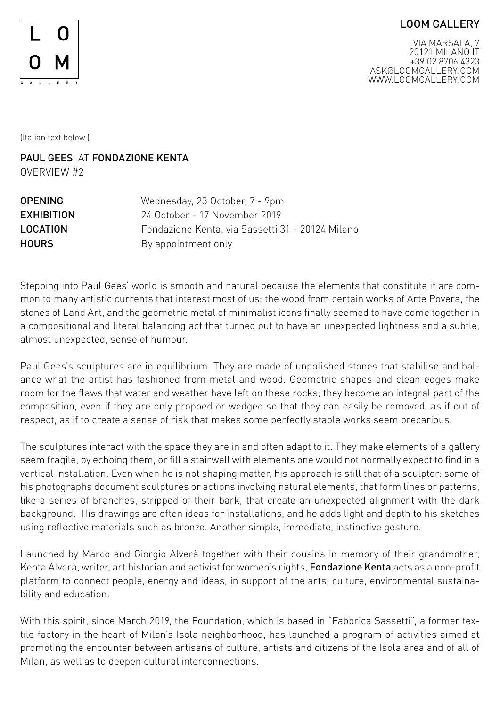## LOOM GALLERY



VIA MARSALA, 7 20121 MILANO IT +39 02 8706 4323 ASK@LOOMGALLERY.COM WWW.LOOMGALLERY.COM

(Italian text below )

PAUL GFFS AT FONDAZIONE KENTA OVERVIEW #2

| Wednesday, 23 October, 7 - 9pm                   |
|--------------------------------------------------|
| 24 October - 17 November 2019                    |
| Fondazione Kenta, via Sassetti 31 - 20124 Milano |
| By appointment only                              |
|                                                  |

Stepping into Paul Gees' world is smooth and natural because the elements that constitute it are common to many artistic currents that interest most of us: the wood from certain works of Arte Povera, the stones of Land Art, and the geometric metal of minimalist icons finally seemed to have come together in a compositional and literal balancing act that turned out to have an unexpected lightness and a subtle, almost unexpected, sense of humour.

Paul Gees's sculptures are in equilibrium. They are made of unpolished stones that stabilise and balance what the artist has fashioned from metal and wood. Geometric shapes and clean edges make room for the flaws that water and weather have left on these rocks; they become an integral part of the composition, even if they are only propped or wedged so that they can easily be removed, as if out of respect, as if to create a sense of risk that makes some perfectly stable works seem precarious.

The sculptures interact with the space they are in and often adapt to it. They make elements of a gallery seem fragile, by echoing them, or fill a stairwell with elements one would not normally expect to find in a vertical installation. Even when he is not shaping matter, his approach is still that of a sculptor: some of his photographs document sculptures or actions involving natural elements, that form lines or patterns, like a series of branches, stripped of their bark, that create an unexpected alignment with the dark background. His drawings are often ideas for installations, and he adds light and depth to his sketches using reflective materials such as bronze. Another simple, immediate, instinctive gesture.

Launched by Marco and Giorgio Alverà together with their cousins in memory of their grandmother, Kenta Alverà, writer, art historian and activist for women's rights, Fondazione Kenta acts as a non-profit platform to connect people, energy and ideas, in support of the arts, culture, environmental sustainability and education.

With this spirit, since March 2019, the Foundation, which is based in "Fabbrica Sassetti", a former textile factory in the heart of Milan's Isola neighborhood, has launched a program of activities aimed at promoting the encounter between artisans of culture, artists and citizens of the Isola area and of all of Milan, as well as to deepen cultural interconnections.